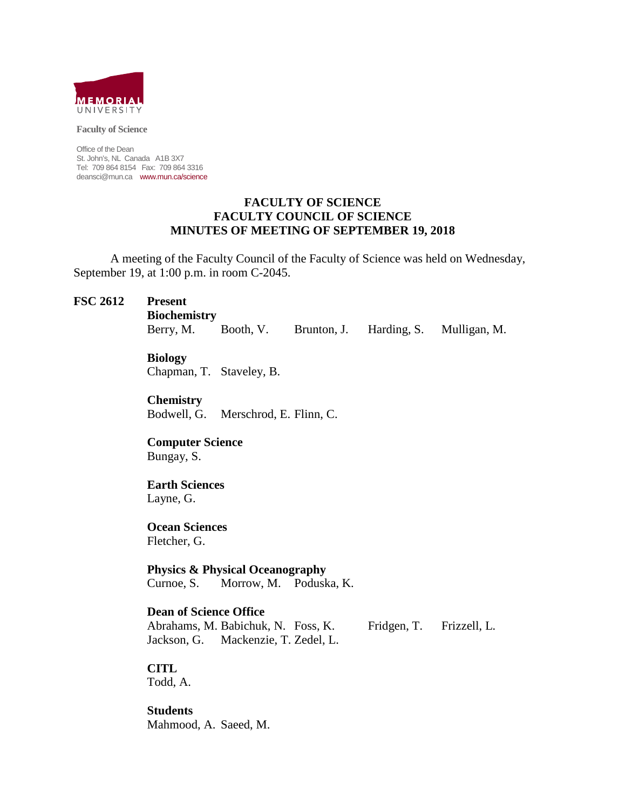

**Faculty of Science**

Office of the Dean St. John's, NL Canada A1B 3X7 Tel: 709 864 8154 Fax: 709 864 3316 deansci@mun.ca www.mun.ca/science

#### **FACULTY OF SCIENCE FACULTY COUNCIL OF SCIENCE MINUTES OF MEETING OF SEPTEMBER 19, 2018**

A meeting of the Faculty Council of the Faculty of Science was held on Wednesday, September 19, at 1:00 p.m. in room C-2045.

#### **FSC 2612 Present**

**Biochemistry**

Berry, M. Booth, V. Brunton, J. Harding, S. Mulligan, M.

## **Biology**

Chapman, T. Staveley, B.

**Chemistry** Bodwell, G. Merschrod, E. Flinn, C.

**Computer Science** Bungay, S.

# **Earth Sciences**

Layne, G.

**Ocean Sciences** Fletcher, G.

**Physics & Physical Oceanography** Curnoe, S. Morrow, M. Poduska, K.

## **Dean of Science Office**

Abrahams, M. Babichuk, N. Foss, K. Fridgen, T. Frizzell, L. Jackson, G. Mackenzie, T. Zedel, L.

**CITL**

Todd, A.

**Students** Mahmood, A. Saeed, M.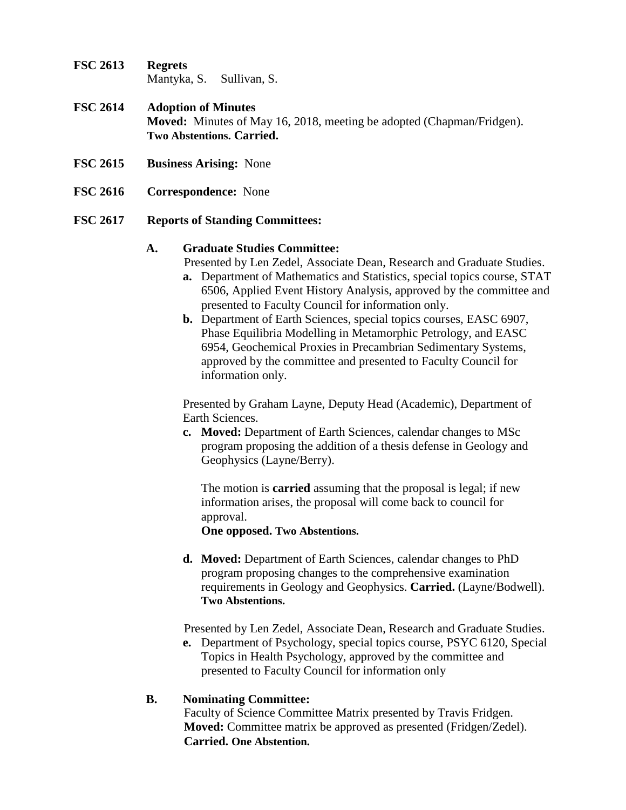**FSC 2613 Regrets** Mantyka, S. Sullivan, S.

# **FSC 2614 Adoption of Minutes Moved:** Minutes of May 16, 2018, meeting be adopted (Chapman/Fridgen). **Two Abstentions. Carried.**

- **FSC 2615 Business Arising:** None
- **FSC 2616 Correspondence:** None

## **FSC 2617 Reports of Standing Committees:**

## **A. Graduate Studies Committee:**

Presented by Len Zedel, Associate Dean, Research and Graduate Studies.

- **a.** Department of Mathematics and Statistics, special topics course, STAT 6506, Applied Event History Analysis, approved by the committee and presented to Faculty Council for information only.
- **b.** Department of Earth Sciences, special topics courses, EASC 6907, Phase Equilibria Modelling in Metamorphic Petrology, and EASC 6954, Geochemical Proxies in Precambrian Sedimentary Systems, approved by the committee and presented to Faculty Council for information only.

Presented by Graham Layne, Deputy Head (Academic), Department of Earth Sciences.

**c. Moved:** Department of Earth Sciences, calendar changes to MSc program proposing the addition of a thesis defense in Geology and Geophysics (Layne/Berry).

The motion is **carried** assuming that the proposal is legal; if new information arises, the proposal will come back to council for approval.

**One opposed. Two Abstentions.**

**d. Moved:** Department of Earth Sciences, calendar changes to PhD program proposing changes to the comprehensive examination requirements in Geology and Geophysics. **Carried.** (Layne/Bodwell). **Two Abstentions.**

Presented by Len Zedel, Associate Dean, Research and Graduate Studies.

**e.** Department of Psychology, special topics course, PSYC 6120, Special Topics in Health Psychology, approved by the committee and presented to Faculty Council for information only

# **B. Nominating Committee:**

Faculty of Science Committee Matrix presented by Travis Fridgen. **Moved:** Committee matrix be approved as presented (Fridgen/Zedel). **Carried. One Abstention.**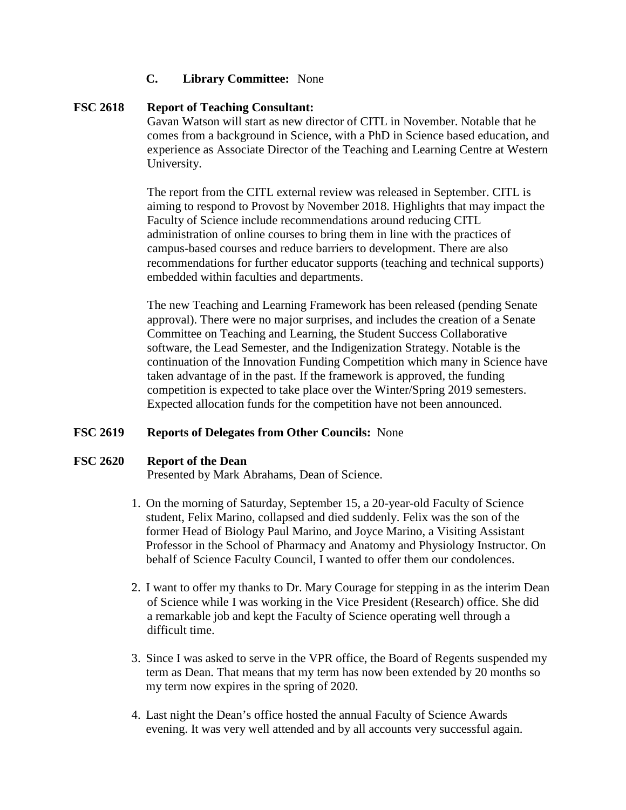## **C. Library Committee:** None

## **FSC 2618 Report of Teaching Consultant:**

Gavan Watson will start as new director of CITL in November. Notable that he comes from a background in Science, with a PhD in Science based education, and experience as Associate Director of the Teaching and Learning Centre at Western University.

The report from the CITL external review was released in September. CITL is aiming to respond to Provost by November 2018. Highlights that may impact the Faculty of Science include recommendations around reducing CITL administration of online courses to bring them in line with the practices of campus-based courses and reduce barriers to development. There are also recommendations for further educator supports (teaching and technical supports) embedded within faculties and departments.

The new Teaching and Learning Framework has been released (pending Senate approval). There were no major surprises, and includes the creation of a Senate Committee on Teaching and Learning, the Student Success Collaborative software, the Lead Semester, and the Indigenization Strategy. Notable is the continuation of the Innovation Funding Competition which many in Science have taken advantage of in the past. If the framework is approved, the funding competition is expected to take place over the Winter/Spring 2019 semesters. Expected allocation funds for the competition have not been announced.

## **FSC 2619 Reports of Delegates from Other Councils:** None

## **FSC 2620 Report of the Dean**

Presented by Mark Abrahams, Dean of Science.

- 1. On the morning of Saturday, September 15, a 20-year-old Faculty of Science student, Felix Marino, collapsed and died suddenly. Felix was the son of the former Head of Biology Paul Marino, and Joyce Marino, a Visiting Assistant Professor in the School of Pharmacy and Anatomy and Physiology Instructor. On behalf of Science Faculty Council, I wanted to offer them our condolences.
- 2. I want to offer my thanks to Dr. Mary Courage for stepping in as the interim Dean of Science while I was working in the Vice President (Research) office. She did a remarkable job and kept the Faculty of Science operating well through a difficult time.
- 3. Since I was asked to serve in the VPR office, the Board of Regents suspended my term as Dean. That means that my term has now been extended by 20 months so my term now expires in the spring of 2020.
- 4. Last night the Dean's office hosted the annual Faculty of Science Awards evening. It was very well attended and by all accounts very successful again.